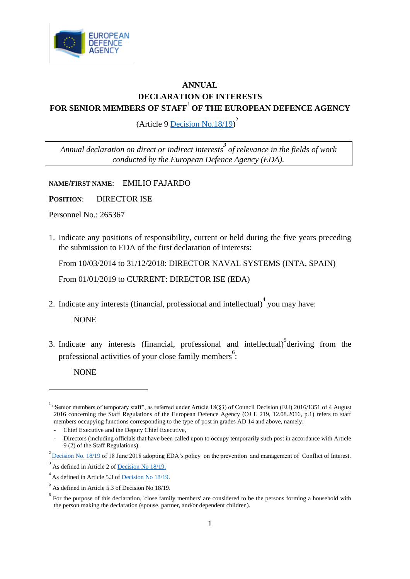

## **ANNUAL DECLARATION OF INTERESTS FOR SENIOR MEMBERS OF STAFF**<sup>1</sup> **OF THE EUROPEAN DEFENCE AGENCY**

(Article 9  $\overline{\text{Decision No.18/19}}^2$ 

*Annual declaration on direct or indirect interests<sup>3</sup> of relevance in the fields of work conducted by the European Defence Agency (EDA).*

**NAME/FIRST NAME**: EMILIO FAJARDO

**POSITION**: DIRECTOR ISE

Personnel No.: 265367

1. Indicate any positions of responsibility, current or held during the five years preceding the submission to EDA of the first declaration of interests:

From 10/03/2014 to 31/12/2018: DIRECTOR NAVAL SYSTEMS (INTA, SPAIN)

From 01/01/2019 to CURRENT: DIRECTOR ISE (EDA)

2. Indicate any interests (financial, professional and intellectual) $\alpha$  you may have:

NONE

3. Indicate any interests (financial, professional and intellectual) $\delta$  deriving from the professional activities of your close family members<sup>6</sup>:

NONE

<sup>&</sup>lt;sup>1</sup> "Senior members of temporary staff", as referred under Article 18(§3) of Council Decision (EU) 2016/1351 of 4 August 2016 concerning the Staff Regulations of the European Defence Agency (OJ L 219, 12.08.2016, p.1) refers to staff members occupying functions corresponding to the type of post in grades AD 14 and above, namely:

<sup>-</sup> Chief Executive and the Deputy Chief Executive,

<sup>-</sup> Directors (including officials that have been called upon to occupy temporarily such post in accordance with Article 9 (2) of the Staff Regulations).

 $^{2}$  <u>[Decision No. 18/19](https://acp4eu035hotmail.sharepoint.com/:b:/s/ComSiteLEGDP/Ecu_Y4-YvVBBrje0LJOCN_8BbqW8s-Phajnz3Mb38eXZ7A?e=LY7kqv)</u> of 18 June 2018 adopting EDA's policy on the prevention and management of Conflict of Interest.

 $3<sup>3</sup>$  As defined in Article 2 of <u>Decision No 18/19.</u>

 $4<sup>4</sup>$  As defined in Article 5.3 of <u>Decision No 18/19</u>.

 $<sup>5</sup>$  As defined in Article 5.3 of Decision No 18/19.</sup>

 $6\degree$  For the purpose of this declaration, 'close family members' are considered to be the persons forming a household with the person making the declaration (spouse, partner, and/or dependent children).